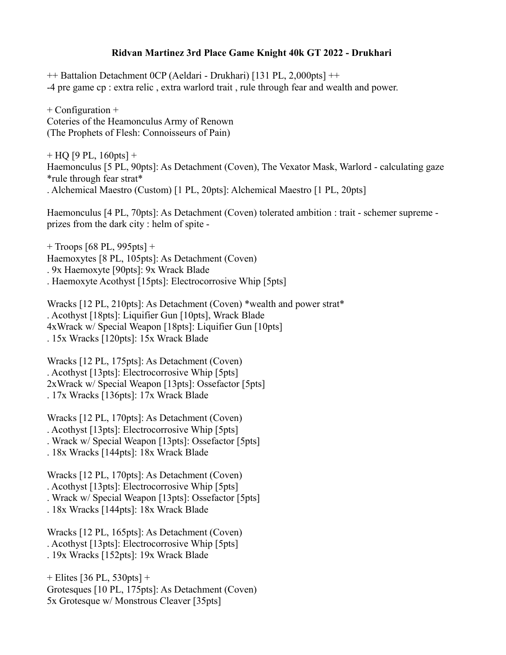## **Ridvan Martinez 3rd Place Game Knight 40k GT 2022 - Drukhari**

++ Battalion Detachment 0CP (Aeldari - Drukhari) [131 PL, 2,000pts] ++ -4 pre game cp : extra relic , extra warlord trait , rule through fear and wealth and power.

+ Configuration + Coteries of the Heamonculus Army of Renown (The Prophets of Flesh: Connoisseurs of Pain)

 $+$  HQ [9 PL, 160pts]  $+$ Haemonculus [5 PL, 90pts]: As Detachment (Coven), The Vexator Mask, Warlord - calculating gaze \*rule through fear strat\* . Alchemical Maestro (Custom) [1 PL, 20pts]: Alchemical Maestro [1 PL, 20pts]

Haemonculus [4 PL, 70pts]: As Detachment (Coven) tolerated ambition : trait - schemer supreme prizes from the dark city : helm of spite -

 $+$  Troops [68 PL, 995pts]  $+$ Haemoxytes [8 PL, 105pts]: As Detachment (Coven) . 9x Haemoxyte [90pts]: 9x Wrack Blade . Haemoxyte Acothyst [15pts]: Electrocorrosive Whip [5pts]

Wracks [12 PL, 210pts]: As Detachment (Coven) \*wealth and power strat\* . Acothyst [18pts]: Liquifier Gun [10pts], Wrack Blade 4xWrack w/ Special Weapon [18pts]: Liquifier Gun [10pts] . 15x Wracks [120pts]: 15x Wrack Blade

Wracks [12 PL, 175pts]: As Detachment (Coven) . Acothyst [13pts]: Electrocorrosive Whip [5pts] 2xWrack w/ Special Weapon [13pts]: Ossefactor [5pts] . 17x Wracks [136pts]: 17x Wrack Blade

Wracks [12 PL, 170pts]: As Detachment (Coven) . Acothyst [13pts]: Electrocorrosive Whip [5pts] . Wrack w/ Special Weapon [13pts]: Ossefactor [5pts] . 18x Wracks [144pts]: 18x Wrack Blade

Wracks [12 PL, 170pts]: As Detachment (Coven) . Acothyst [13pts]: Electrocorrosive Whip [5pts] . Wrack w/ Special Weapon [13pts]: Ossefactor [5pts] . 18x Wracks [144pts]: 18x Wrack Blade

Wracks [12 PL, 165pts]: As Detachment (Coven) . Acothyst [13pts]: Electrocorrosive Whip [5pts] . 19x Wracks [152pts]: 19x Wrack Blade

+ Elites [36 PL, 530pts] + Grotesques [10 PL, 175pts]: As Detachment (Coven) 5x Grotesque w/ Monstrous Cleaver [35pts]